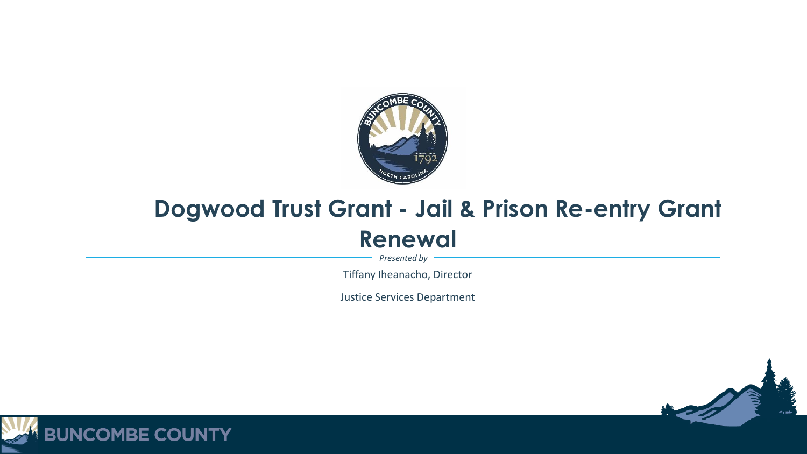

## **Dogwood Trust Grant - Jail & Prison Re-entry Grant Renewal**

*Presented by*

Tiffany Iheanacho, Director

Justice Services Department



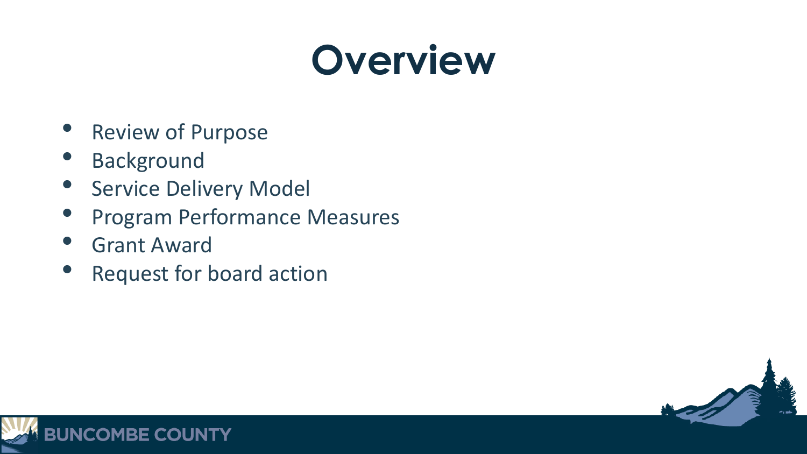## **Overview**

- **Review of Purpose**
- **Background**
- **Service Delivery Model**
- Program Performance Measures
- **Grant Award**
- Request for board action



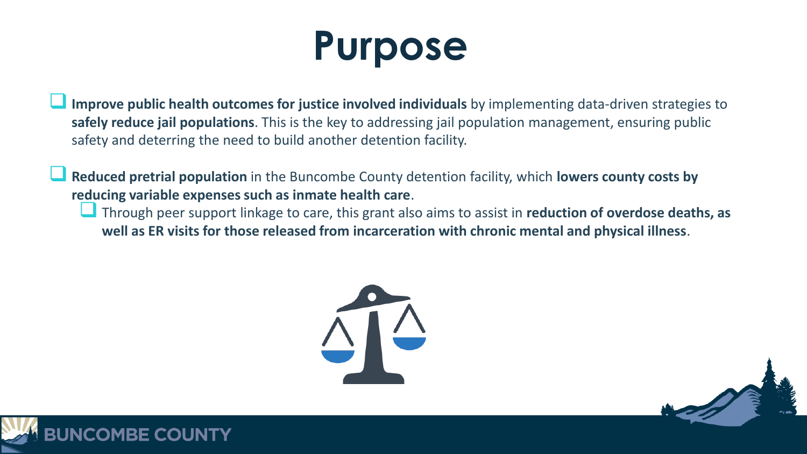# **Purpose**

- **Improve public health outcomes for justice involved individuals** by implementing data-driven strategies to **safely reduce jail populations**. This is the key to addressing jail population management, ensuring public safety and deterring the need to build another detention facility.
- **Reduced pretrial population** in the Buncombe County detention facility, which **lowers county costs by reducing variable expenses such as inmate health care**.
	- Through peer support linkage to care, this grant also aims to assist in **reduction of overdose deaths, as well as ER visits for those released from incarceration with chronic mental and physical illness**.



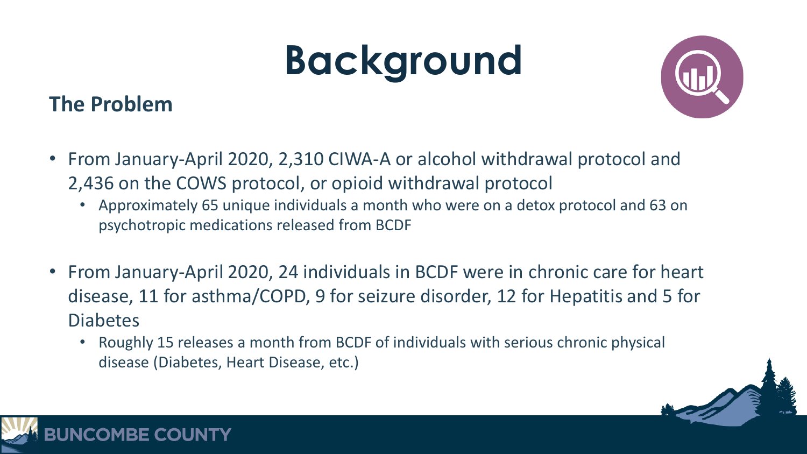# **Background**

### **The Problem**



- From January-April 2020, 2,310 CIWA-A or alcohol withdrawal protocol and 2,436 on the COWS protocol, or opioid withdrawal protocol
	- Approximately 65 unique individuals a month who were on a detox protocol and 63 on psychotropic medications released from BCDF
- From January-April 2020, 24 individuals in BCDF were in chronic care for heart disease, 11 for asthma/COPD, 9 for seizure disorder, 12 for Hepatitis and 5 for Diabetes
	- Roughly 15 releases a month from BCDF of individuals with serious chronic physical disease (Diabetes, Heart Disease, etc.)

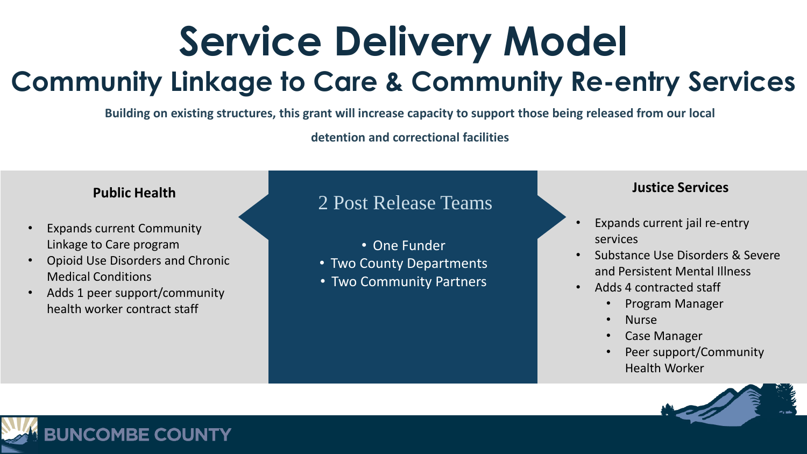## **Service Delivery Model Community Linkage to Care & Community Re-entry Services**

**Building on existing structures, this grant will increase capacity to support those being released from our local** 

**detention and correctional facilities**

### **Public Health**

- Expands current Community Linkage to Care program
- Opioid Use Disorders and Chronic Medical Conditions
- Adds 1 peer support/community health worker contract staff

### 2 Post Release Teams

- One Funder
- Two County Departments
- Two Community Partners

#### **Justice Services**

- Expands current jail re-entry services
- Substance Use Disorders & Severe and Persistent Mental Illness
- Adds 4 contracted staff
	- Program Manager
	- Nurse
	- Case Manager
	- Peer support/Community Health Worker



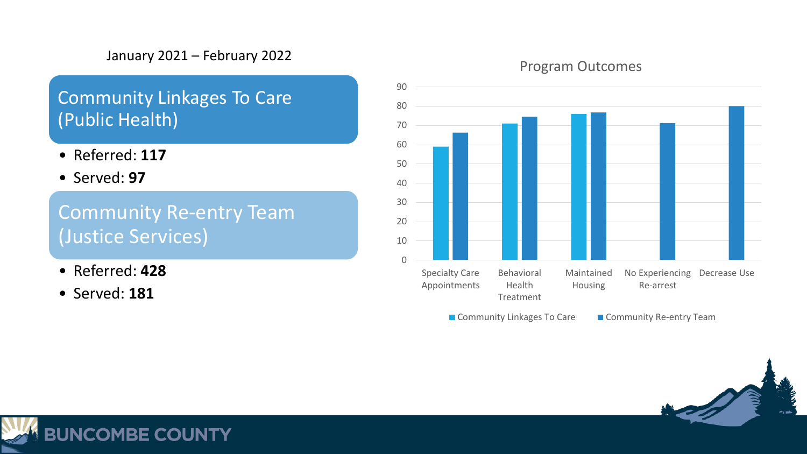### January 2021 – February 2022

### Community Linkages To Care (Public Health)

- Referred: **117**
- Served: **97**

Community Re-entry Team (Justice Services)

- Referred: **428**
- Served: **181**

#### Program Outcomes



■ Community Linkages To Care ■ Community Re-entry Team



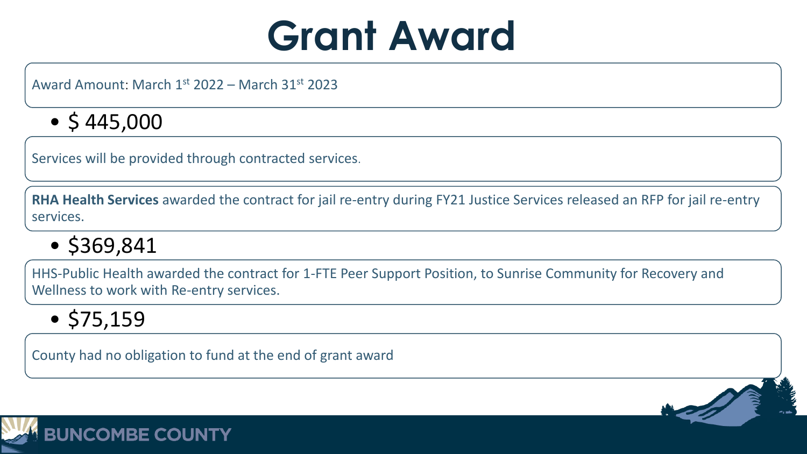

Award Amount: March 1st 2022 – March 31st 2023

## $\bullet$  \$445,000

Services will be provided through contracted services.

**RHA Health Services** awarded the contract for jail re-entry during FY21 Justice Services released an RFP for jail re-entry services.

• \$369,841

HHS-Public Health awarded the contract for 1-FTE Peer Support Position, to Sunrise Community for Recovery and Wellness to work with Re-entry services.

 $•$  \$75,159

County had no obligation to fund at the end of grant award